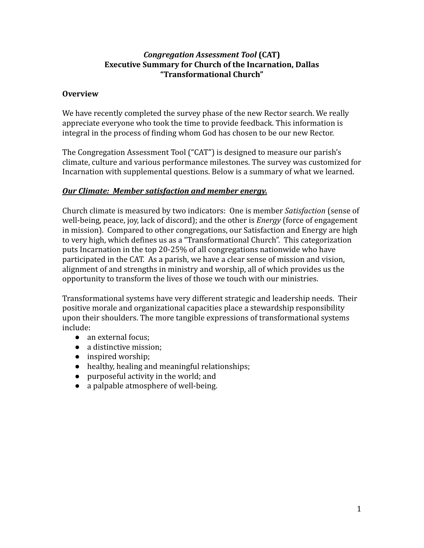### *Congregation Assessment Tool* **(CAT) Executive Summary for Church of the Incarnation, Dallas "Transformational Church"**

### **Overview**

We have recently completed the survey phase of the new Rector search. We really appreciate everyone who took the time to provide feedback. This information is integral in the process of finding whom God has chosen to be our new Rector.

The Congregation Assessment Tool ("CAT") is designed to measure our parish's climate, culture and various performance milestones. The survey was customized for Incarnation with supplemental questions. Below is a summary of what we learned.

# *Our Climate: Member satisfaction and member energy.*

Church climate is measured by two indicators: One is member *Satisfaction* (sense of well-being, peace, joy, lack of discord); and the other is *Energy* (force of engagement in mission). Compared to other congregations, our Satisfaction and Energy are high to very high, which defines us as a "Transformational Church". This categorization puts Incarnation in the top 20-25% of all congregations nationwide who have participated in the CAT. As a parish, we have a clear sense of mission and vision, alignment of and strengths in ministry and worship, all of which provides us the opportunity to transform the lives of those we touch with our ministries.

Transformational systems have very different strategic and leadership needs. Their positive morale and organizational capacities place a stewardship responsibility upon their shoulders. The more tangible expressions of transformational systems include:

- an external focus:
- a distinctive mission:
- inspired worship;
- healthy, healing and meaningful relationships;
- purposeful activity in the world; and
- a palpable atmosphere of well-being.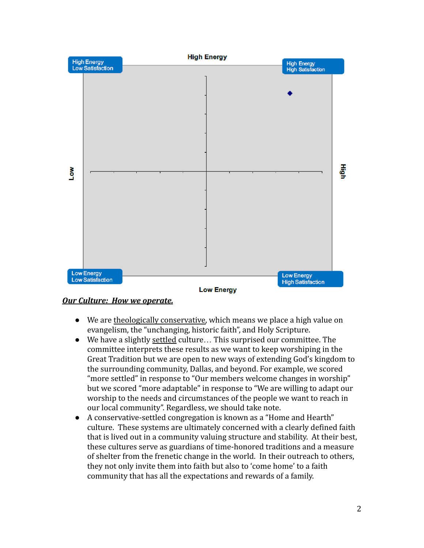

#### *Our Culture: How we operate.*

- We are theologically conservative, which means we place a high value on evangelism, the "unchanging, historic faith", and Holy Scripture.
- We have a slightly settled culture… This surprised our committee. The committee interprets these results as we want to keep worshiping in the Great Tradition but we are open to new ways of extending God's kingdom to the surrounding community, Dallas, and beyond. For example, we scored "more settled" in response to "Our members welcome changes in worship" but we scored "more adaptable" in response to "We are willing to adapt our worship to the needs and circumstances of the people we want to reach in our local community". Regardless, we should take note.
- A conservative-settled congregation is known as a "Home and Hearth" culture. These systems are ultimately concerned with a clearly defined faith that is lived out in a community valuing structure and stability. At their best, these cultures serve as guardians of time-honored traditions and a measure of shelter from the frenetic change in the world. In their outreach to others, they not only invite them into faith but also to 'come home' to a faith community that has all the expectations and rewards of a family.